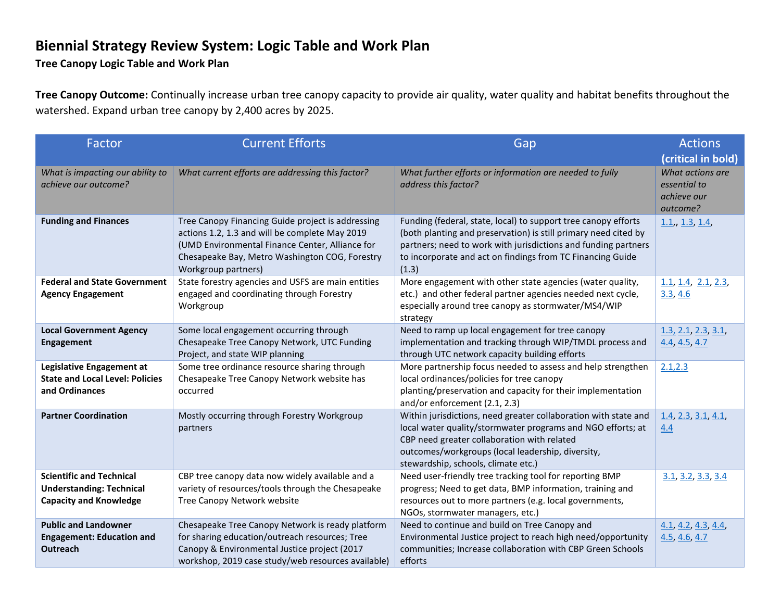## **Biennial Strategy Review System: Logic Table and Work Plan**

**Tree Canopy Logic Table and Work Plan**

**Tree Canopy Outcome:** Continually increase urban tree canopy capacity to provide air quality, water quality and habitat benefits throughout the watershed. Expand urban tree canopy by 2,400 acres by 2025.

| Factor                                                                                              | <b>Current Efforts</b>                                                                                                                                                                                                          | Gap                                                                                                                                                                                                                                                                        | <b>Actions</b>                                                                    |
|-----------------------------------------------------------------------------------------------------|---------------------------------------------------------------------------------------------------------------------------------------------------------------------------------------------------------------------------------|----------------------------------------------------------------------------------------------------------------------------------------------------------------------------------------------------------------------------------------------------------------------------|-----------------------------------------------------------------------------------|
| What is impacting our ability to<br>achieve our outcome?                                            | What current efforts are addressing this factor?                                                                                                                                                                                | What further efforts or information are needed to fully<br>address this factor?                                                                                                                                                                                            | (critical in bold)<br>What actions are<br>essential to<br>achieve our<br>outcome? |
| <b>Funding and Finances</b>                                                                         | Tree Canopy Financing Guide project is addressing<br>actions 1.2, 1.3 and will be complete May 2019<br>(UMD Environmental Finance Center, Alliance for<br>Chesapeake Bay, Metro Washington COG, Forestry<br>Workgroup partners) | Funding (federal, state, local) to support tree canopy efforts<br>(both planting and preservation) is still primary need cited by<br>partners; need to work with jurisdictions and funding partners<br>to incorporate and act on findings from TC Financing Guide<br>(1.3) | 1.1, 1.3, 1.4,                                                                    |
| <b>Federal and State Government</b><br><b>Agency Engagement</b>                                     | State forestry agencies and USFS are main entities<br>engaged and coordinating through Forestry<br>Workgroup                                                                                                                    | More engagement with other state agencies (water quality,<br>etc.) and other federal partner agencies needed next cycle,<br>especially around tree canopy as stormwater/MS4/WIP<br>strategy                                                                                | 1.1, 1.4, 2.1, 2.3<br>3.3, 4.6                                                    |
| <b>Local Government Agency</b><br><b>Engagement</b>                                                 | Some local engagement occurring through<br>Chesapeake Tree Canopy Network, UTC Funding<br>Project, and state WIP planning                                                                                                       | Need to ramp up local engagement for tree canopy<br>implementation and tracking through WIP/TMDL process and<br>through UTC network capacity building efforts                                                                                                              | 1.3, 2.1, 2.3, 3.1<br>4.4, 4.5, 4.7                                               |
| Legislative Engagement at<br><b>State and Local Level: Policies</b><br>and Ordinances               | Some tree ordinance resource sharing through<br>Chesapeake Tree Canopy Network website has<br>occurred                                                                                                                          | More partnership focus needed to assess and help strengthen<br>local ordinances/policies for tree canopy<br>planting/preservation and capacity for their implementation<br>and/or enforcement (2.1, 2.3)                                                                   | 2.1, 2.3                                                                          |
| <b>Partner Coordination</b>                                                                         | Mostly occurring through Forestry Workgroup<br>partners                                                                                                                                                                         | Within jurisdictions, need greater collaboration with state and<br>local water quality/stormwater programs and NGO efforts; at<br>CBP need greater collaboration with related<br>outcomes/workgroups (local leadership, diversity,<br>stewardship, schools, climate etc.)  | 1.4, 2.3, 3.1, 4.1<br>4.4                                                         |
| <b>Scientific and Technical</b><br><b>Understanding: Technical</b><br><b>Capacity and Knowledge</b> | CBP tree canopy data now widely available and a<br>variety of resources/tools through the Chesapeake<br>Tree Canopy Network website                                                                                             | Need user-friendly tree tracking tool for reporting BMP<br>progress; Need to get data, BMP information, training and<br>resources out to more partners (e.g. local governments,<br>NGOs, stormwater managers, etc.)                                                        | 3.1, 3.2, 3.3, 3.4                                                                |
| <b>Public and Landowner</b><br><b>Engagement: Education and</b><br><b>Outreach</b>                  | Chesapeake Tree Canopy Network is ready platform<br>for sharing education/outreach resources; Tree<br>Canopy & Environmental Justice project (2017<br>workshop, 2019 case study/web resources available)                        | Need to continue and build on Tree Canopy and<br>Environmental Justice project to reach high need/opportunity<br>communities; Increase collaboration with CBP Green Schools<br>efforts                                                                                     | 4.1, 4.2, 4.3, 4.4<br>4.5, 4.6, 4.7                                               |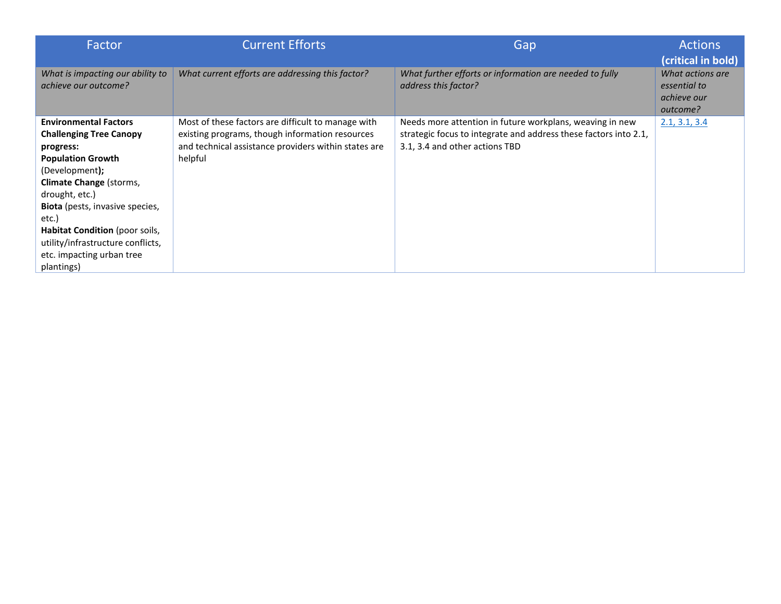| Factor                                                                                                                                                                                                                                                                                                                                      | <b>Current Efforts</b>                                                                                                                                                   | Gap                                                                                                                                                            | <b>Actions</b><br>(critical in bold)                        |
|---------------------------------------------------------------------------------------------------------------------------------------------------------------------------------------------------------------------------------------------------------------------------------------------------------------------------------------------|--------------------------------------------------------------------------------------------------------------------------------------------------------------------------|----------------------------------------------------------------------------------------------------------------------------------------------------------------|-------------------------------------------------------------|
| What is impacting our ability to<br>achieve our outcome?                                                                                                                                                                                                                                                                                    | What current efforts are addressing this factor?                                                                                                                         | What further efforts or information are needed to fully<br>address this factor?                                                                                | What actions are<br>essential to<br>achieve our<br>outcome? |
| <b>Environmental Factors</b><br><b>Challenging Tree Canopy</b><br>progress:<br><b>Population Growth</b><br>(Development);<br>Climate Change (storms,<br>drought, etc.)<br><b>Biota</b> (pests, invasive species,<br>etc.)<br>Habitat Condition (poor soils,<br>utility/infrastructure conflicts,<br>etc. impacting urban tree<br>plantings) | Most of these factors are difficult to manage with<br>existing programs, though information resources<br>and technical assistance providers within states are<br>helpful | Needs more attention in future workplans, weaving in new<br>strategic focus to integrate and address these factors into 2.1,<br>3.1, 3.4 and other actions TBD | 2.1, 3.1, 3.4                                               |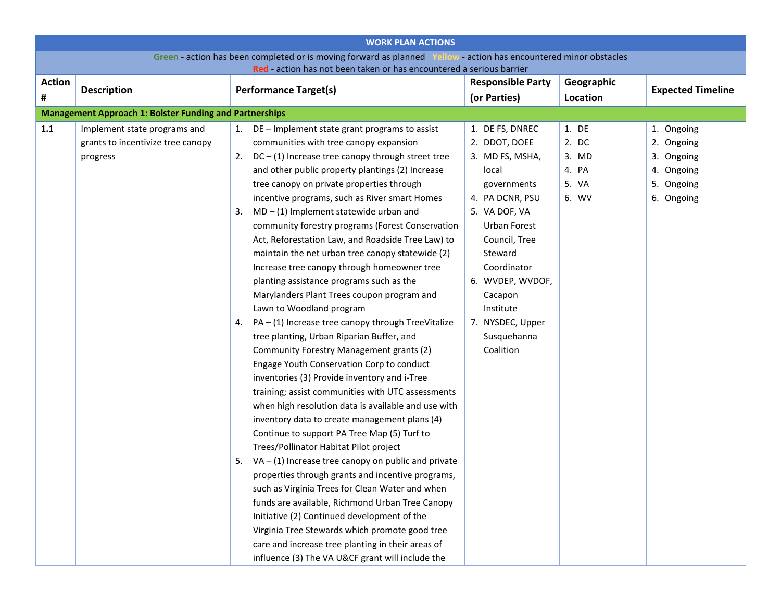<span id="page-2-0"></span>

|               | <b>WORK PLAN ACTIONS</b>                                                                                          |    |                                                                                                      |  |                          |            |                          |
|---------------|-------------------------------------------------------------------------------------------------------------------|----|------------------------------------------------------------------------------------------------------|--|--------------------------|------------|--------------------------|
|               | Green - action has been completed or is moving forward as planned Yellow - action has encountered minor obstacles |    |                                                                                                      |  |                          |            |                          |
|               |                                                                                                                   |    | Red - action has not been taken or has encountered a serious barrier                                 |  |                          |            |                          |
| <b>Action</b> | <b>Description</b>                                                                                                |    | <b>Performance Target(s)</b>                                                                         |  | <b>Responsible Party</b> | Geographic | <b>Expected Timeline</b> |
| #             |                                                                                                                   |    |                                                                                                      |  | (or Parties)             | Location   |                          |
|               | <b>Management Approach 1: Bolster Funding and Partnerships</b>                                                    |    |                                                                                                      |  |                          |            |                          |
| 1.1           | Implement state programs and                                                                                      |    | DE - Implement state grant programs to assist                                                        |  | 1. DE FS, DNREC          | 1. DE      | 1. Ongoing               |
|               | grants to incentivize tree canopy                                                                                 |    | communities with tree canopy expansion                                                               |  | 2. DDOT, DOEE            | 2. DC      | 2. Ongoing               |
|               | progress                                                                                                          | 2. | $DC - (1)$ Increase tree canopy through street tree                                                  |  | 3. MD FS, MSHA,          | 3. MD      | 3.<br>Ongoing            |
|               |                                                                                                                   |    | and other public property plantings (2) Increase                                                     |  | local                    | 4. PA      | 4. Ongoing               |
|               |                                                                                                                   |    | tree canopy on private properties through                                                            |  | governments              | 5. VA      | 5. Ongoing               |
|               |                                                                                                                   |    | incentive programs, such as River smart Homes                                                        |  | 4. PA DCNR, PSU          | 6. WV      | 6. Ongoing               |
|               |                                                                                                                   | 3. | $MD - (1)$ Implement statewide urban and                                                             |  | 5. VA DOF, VA            |            |                          |
|               |                                                                                                                   |    | community forestry programs (Forest Conservation                                                     |  | Urban Forest             |            |                          |
|               |                                                                                                                   |    | Act, Reforestation Law, and Roadside Tree Law) to                                                    |  | Council, Tree            |            |                          |
|               |                                                                                                                   |    | maintain the net urban tree canopy statewide (2)                                                     |  | Steward                  |            |                          |
|               |                                                                                                                   |    | Increase tree canopy through homeowner tree                                                          |  | Coordinator              |            |                          |
|               |                                                                                                                   |    | planting assistance programs such as the                                                             |  | 6. WVDEP, WVDOF,         |            |                          |
|               |                                                                                                                   |    | Marylanders Plant Trees coupon program and                                                           |  | Cacapon                  |            |                          |
|               |                                                                                                                   |    | Lawn to Woodland program                                                                             |  | Institute                |            |                          |
|               |                                                                                                                   | 4. | $PA - (1)$ Increase tree canopy through TreeVitalize                                                 |  | 7. NYSDEC, Upper         |            |                          |
|               |                                                                                                                   |    | tree planting, Urban Riparian Buffer, and                                                            |  | Susquehanna              |            |                          |
|               |                                                                                                                   |    | Community Forestry Management grants (2)                                                             |  | Coalition                |            |                          |
|               |                                                                                                                   |    | Engage Youth Conservation Corp to conduct                                                            |  |                          |            |                          |
|               |                                                                                                                   |    | inventories (3) Provide inventory and i-Tree                                                         |  |                          |            |                          |
|               |                                                                                                                   |    | training; assist communities with UTC assessments                                                    |  |                          |            |                          |
|               |                                                                                                                   |    | when high resolution data is available and use with                                                  |  |                          |            |                          |
|               |                                                                                                                   |    | inventory data to create management plans (4)                                                        |  |                          |            |                          |
|               |                                                                                                                   |    | Continue to support PA Tree Map (5) Turf to                                                          |  |                          |            |                          |
|               |                                                                                                                   |    | Trees/Pollinator Habitat Pilot project                                                               |  |                          |            |                          |
|               |                                                                                                                   | 5. | $VA - (1)$ Increase tree canopy on public and private                                                |  |                          |            |                          |
|               |                                                                                                                   |    | properties through grants and incentive programs,<br>such as Virginia Trees for Clean Water and when |  |                          |            |                          |
|               |                                                                                                                   |    |                                                                                                      |  |                          |            |                          |
|               |                                                                                                                   |    | funds are available, Richmond Urban Tree Canopy<br>Initiative (2) Continued development of the       |  |                          |            |                          |
|               |                                                                                                                   |    | Virginia Tree Stewards which promote good tree                                                       |  |                          |            |                          |
|               |                                                                                                                   |    | care and increase tree planting in their areas of                                                    |  |                          |            |                          |
|               |                                                                                                                   |    | influence (3) The VA U&CF grant will include the                                                     |  |                          |            |                          |
|               |                                                                                                                   |    |                                                                                                      |  |                          |            |                          |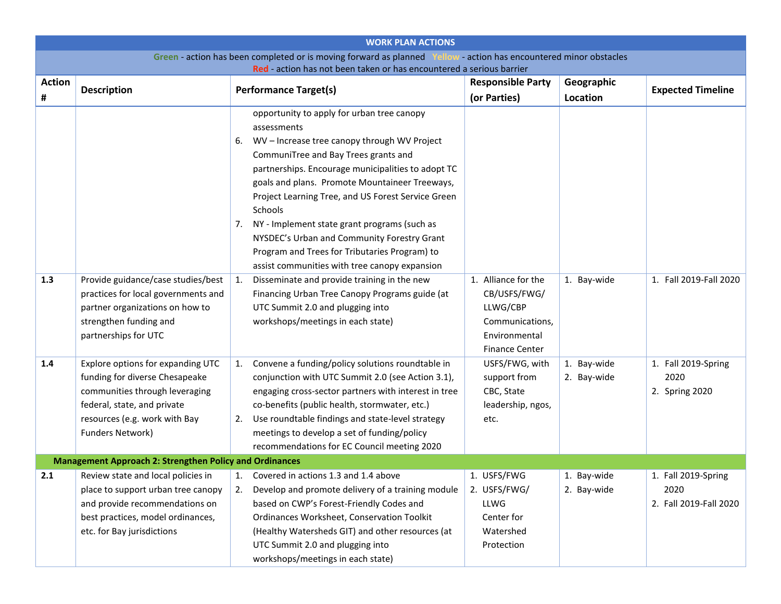<span id="page-3-2"></span><span id="page-3-1"></span><span id="page-3-0"></span>

| <b>WORK PLAN ACTIONS</b>                                                                                          |                                                |    |                                                                                    |  |                                          |                        |                          |
|-------------------------------------------------------------------------------------------------------------------|------------------------------------------------|----|------------------------------------------------------------------------------------|--|------------------------------------------|------------------------|--------------------------|
| Green - action has been completed or is moving forward as planned Yellow - action has encountered minor obstacles |                                                |    |                                                                                    |  |                                          |                        |                          |
| <b>Action</b>                                                                                                     |                                                |    | Red - action has not been taken or has encountered a serious barrier               |  |                                          |                        |                          |
| #                                                                                                                 | <b>Description</b>                             |    | <b>Performance Target(s)</b>                                                       |  | <b>Responsible Party</b><br>(or Parties) | Geographic<br>Location | <b>Expected Timeline</b> |
|                                                                                                                   |                                                |    | opportunity to apply for urban tree canopy                                         |  |                                          |                        |                          |
|                                                                                                                   |                                                |    | assessments                                                                        |  |                                          |                        |                          |
|                                                                                                                   |                                                | 6. | WV-Increase tree canopy through WV Project                                         |  |                                          |                        |                          |
|                                                                                                                   |                                                |    | CommuniTree and Bay Trees grants and                                               |  |                                          |                        |                          |
|                                                                                                                   |                                                |    | partnerships. Encourage municipalities to adopt TC                                 |  |                                          |                        |                          |
|                                                                                                                   |                                                |    | goals and plans. Promote Mountaineer Treeways,                                     |  |                                          |                        |                          |
|                                                                                                                   |                                                |    | Project Learning Tree, and US Forest Service Green                                 |  |                                          |                        |                          |
|                                                                                                                   |                                                |    | Schools                                                                            |  |                                          |                        |                          |
|                                                                                                                   |                                                |    | 7. NY - Implement state grant programs (such as                                    |  |                                          |                        |                          |
|                                                                                                                   |                                                |    | NYSDEC's Urban and Community Forestry Grant                                        |  |                                          |                        |                          |
|                                                                                                                   |                                                |    | Program and Trees for Tributaries Program) to                                      |  |                                          |                        |                          |
|                                                                                                                   |                                                |    | assist communities with tree canopy expansion                                      |  |                                          |                        |                          |
| 1.3                                                                                                               | Provide guidance/case studies/best             | 1. | Disseminate and provide training in the new                                        |  | 1. Alliance for the                      | 1. Bay-wide            | 1. Fall 2019-Fall 2020   |
|                                                                                                                   | practices for local governments and            |    | Financing Urban Tree Canopy Programs guide (at                                     |  | CB/USFS/FWG/                             |                        |                          |
|                                                                                                                   | partner organizations on how to                |    | UTC Summit 2.0 and plugging into                                                   |  | LLWG/CBP                                 |                        |                          |
|                                                                                                                   | strengthen funding and<br>partnerships for UTC |    | workshops/meetings in each state)                                                  |  | Communications,<br>Environmental         |                        |                          |
|                                                                                                                   |                                                |    |                                                                                    |  | <b>Finance Center</b>                    |                        |                          |
| 1.4                                                                                                               | Explore options for expanding UTC              | 1. | Convene a funding/policy solutions roundtable in                                   |  | USFS/FWG, with                           | 1. Bay-wide            | 1. Fall 2019-Spring      |
|                                                                                                                   | funding for diverse Chesapeake                 |    | conjunction with UTC Summit 2.0 (see Action 3.1),                                  |  | support from                             | 2. Bay-wide            | 2020                     |
|                                                                                                                   | communities through leveraging                 |    | engaging cross-sector partners with interest in tree                               |  | CBC, State                               |                        | 2. Spring 2020           |
|                                                                                                                   | federal, state, and private                    |    | co-benefits (public health, stormwater, etc.)                                      |  | leadership, ngos,                        |                        |                          |
|                                                                                                                   | resources (e.g. work with Bay                  | 2. | Use roundtable findings and state-level strategy                                   |  | etc.                                     |                        |                          |
|                                                                                                                   | Funders Network)                               |    | meetings to develop a set of funding/policy                                        |  |                                          |                        |                          |
|                                                                                                                   |                                                |    | recommendations for EC Council meeting 2020                                        |  |                                          |                        |                          |
| <b>Management Approach 2: Strengthen Policy and Ordinances</b>                                                    |                                                |    |                                                                                    |  |                                          |                        |                          |
| 2.1                                                                                                               |                                                |    | Review state and local policies in $\vert$ 1. Covered in actions 1.3 and 1.4 above |  | 1. USFS/FWG                              | 1. Bay-wide            | 1. Fall 2019-Spring      |
|                                                                                                                   | place to support urban tree canopy             |    | Develop and promote delivery of a training module                                  |  | 2. USFS/FWG/                             | 2. Bay-wide            | 2020                     |
|                                                                                                                   | and provide recommendations on                 |    | based on CWP's Forest-Friendly Codes and                                           |  | LLWG                                     |                        | 2. Fall 2019-Fall 2020   |
|                                                                                                                   | best practices, model ordinances,              |    | Ordinances Worksheet, Conservation Toolkit                                         |  | Center for                               |                        |                          |
|                                                                                                                   | etc. for Bay jurisdictions                     |    | (Healthy Watersheds GIT) and other resources (at                                   |  | Watershed                                |                        |                          |
|                                                                                                                   |                                                |    | UTC Summit 2.0 and plugging into<br>workshops/meetings in each state)              |  | Protection                               |                        |                          |
|                                                                                                                   |                                                |    |                                                                                    |  |                                          |                        |                          |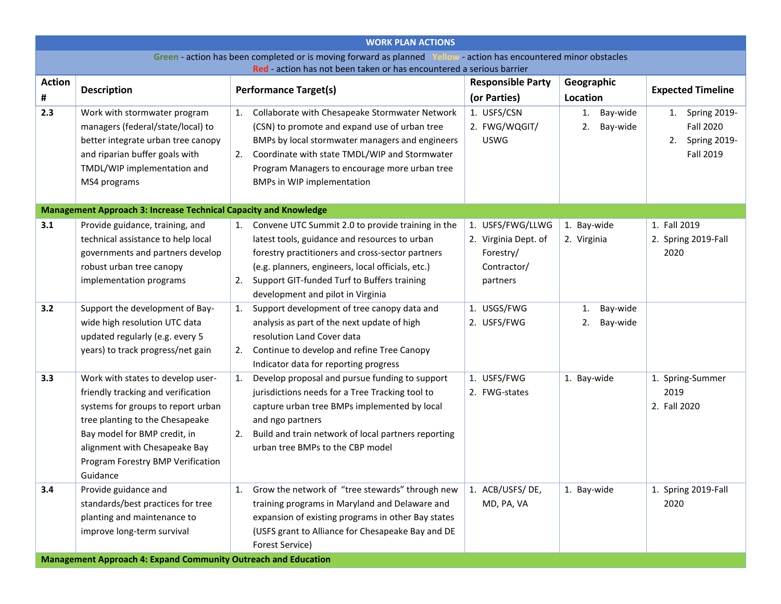<span id="page-4-4"></span><span id="page-4-3"></span><span id="page-4-2"></span><span id="page-4-1"></span><span id="page-4-0"></span>

|                         | <b>WORK PLAN ACTIONS</b>                                                                                          |                                                                           |                                          |                        |                          |  |  |
|-------------------------|-------------------------------------------------------------------------------------------------------------------|---------------------------------------------------------------------------|------------------------------------------|------------------------|--------------------------|--|--|
|                         | Green - action has been completed or is moving forward as planned Yellow - action has encountered minor obstacles |                                                                           |                                          |                        |                          |  |  |
| <b>Action</b>           | Red - action has not been taken or has encountered a serious barrier                                              |                                                                           |                                          |                        |                          |  |  |
| <b>Description</b><br># |                                                                                                                   | <b>Performance Target(s)</b>                                              | <b>Responsible Party</b><br>(or Parties) | Geographic<br>Location | <b>Expected Timeline</b> |  |  |
| 2.3                     | Work with stormwater program                                                                                      | Collaborate with Chesapeake Stormwater Network<br>1.                      | 1. USFS/CSN                              | Bay-wide<br>1.         | Spring 2019-<br>1.       |  |  |
|                         | managers (federal/state/local) to                                                                                 | (CSN) to promote and expand use of urban tree                             | 2. FWG/WQGIT/                            | Bay-wide<br>2.         | <b>Fall 2020</b>         |  |  |
|                         | better integrate urban tree canopy                                                                                | BMPs by local stormwater managers and engineers                           | <b>USWG</b>                              |                        | Spring 2019-<br>2.       |  |  |
|                         | and riparian buffer goals with                                                                                    | Coordinate with state TMDL/WIP and Stormwater<br>2.                       |                                          |                        | <b>Fall 2019</b>         |  |  |
|                         | TMDL/WIP implementation and                                                                                       | Program Managers to encourage more urban tree                             |                                          |                        |                          |  |  |
|                         | MS4 programs                                                                                                      | <b>BMPs in WIP implementation</b>                                         |                                          |                        |                          |  |  |
|                         |                                                                                                                   |                                                                           |                                          |                        |                          |  |  |
|                         | <b>Management Approach 3: Increase Technical Capacity and Knowledge</b>                                           |                                                                           |                                          |                        |                          |  |  |
| 3.1                     | Provide guidance, training, and                                                                                   | 1. Convene UTC Summit 2.0 to provide training in the                      | 1. USFS/FWG/LLWG                         | 1. Bay-wide            | 1. Fall 2019             |  |  |
|                         | technical assistance to help local                                                                                | latest tools, guidance and resources to urban                             | 2. Virginia Dept. of                     | 2. Virginia            | 2. Spring 2019-Fall      |  |  |
|                         | governments and partners develop                                                                                  | forestry practitioners and cross-sector partners                          | Forestry/                                |                        | 2020                     |  |  |
|                         | robust urban tree canopy                                                                                          | (e.g. planners, engineers, local officials, etc.)                         | Contractor/                              |                        |                          |  |  |
|                         | implementation programs                                                                                           | 2. Support GIT-funded Turf to Buffers training                            | partners                                 |                        |                          |  |  |
|                         |                                                                                                                   | development and pilot in Virginia                                         |                                          |                        |                          |  |  |
| 3.2                     | Support the development of Bay-                                                                                   | Support development of tree canopy data and<br>1.                         | 1. USGS/FWG                              | Bay-wide<br>1.         |                          |  |  |
|                         | wide high resolution UTC data<br>updated regularly (e.g. every 5                                                  | analysis as part of the next update of high<br>resolution Land Cover data | 2. USFS/FWG                              | Bay-wide<br>2.         |                          |  |  |
|                         | years) to track progress/net gain                                                                                 | Continue to develop and refine Tree Canopy<br>2.                          |                                          |                        |                          |  |  |
|                         |                                                                                                                   | Indicator data for reporting progress                                     |                                          |                        |                          |  |  |
| 3.3                     | Work with states to develop user-                                                                                 | Develop proposal and pursue funding to support<br>1.                      | 1. USFS/FWG                              | 1. Bay-wide            | 1. Spring-Summer         |  |  |
|                         | friendly tracking and verification                                                                                | jurisdictions needs for a Tree Tracking tool to                           | 2. FWG-states                            |                        | 2019                     |  |  |
|                         | systems for groups to report urban                                                                                | capture urban tree BMPs implemented by local                              |                                          |                        | 2. Fall 2020             |  |  |
|                         | tree planting to the Chesapeake                                                                                   | and ngo partners                                                          |                                          |                        |                          |  |  |
|                         | Bay model for BMP credit, in                                                                                      | Build and train network of local partners reporting<br>2.                 |                                          |                        |                          |  |  |
|                         | alignment with Chesapeake Bay                                                                                     | urban tree BMPs to the CBP model                                          |                                          |                        |                          |  |  |
|                         | Program Forestry BMP Verification                                                                                 |                                                                           |                                          |                        |                          |  |  |
|                         | Guidance                                                                                                          |                                                                           |                                          |                        |                          |  |  |
| 3.4                     | Provide guidance and                                                                                              | Grow the network of "tree stewards" through new<br>1.                     | 1. ACB/USFS/DE,                          | 1. Bay-wide            | 1. Spring 2019-Fall      |  |  |
|                         | standards/best practices for tree                                                                                 | training programs in Maryland and Delaware and                            | MD, PA, VA                               |                        | 2020                     |  |  |
|                         | planting and maintenance to                                                                                       | expansion of existing programs in other Bay states                        |                                          |                        |                          |  |  |
|                         | improve long-term survival                                                                                        | (USFS grant to Alliance for Chesapeake Bay and DE                         |                                          |                        |                          |  |  |
|                         |                                                                                                                   | Forest Service)                                                           |                                          |                        |                          |  |  |
|                         | Management Approach 4: Expand Community Outreach and Education                                                    |                                                                           |                                          |                        |                          |  |  |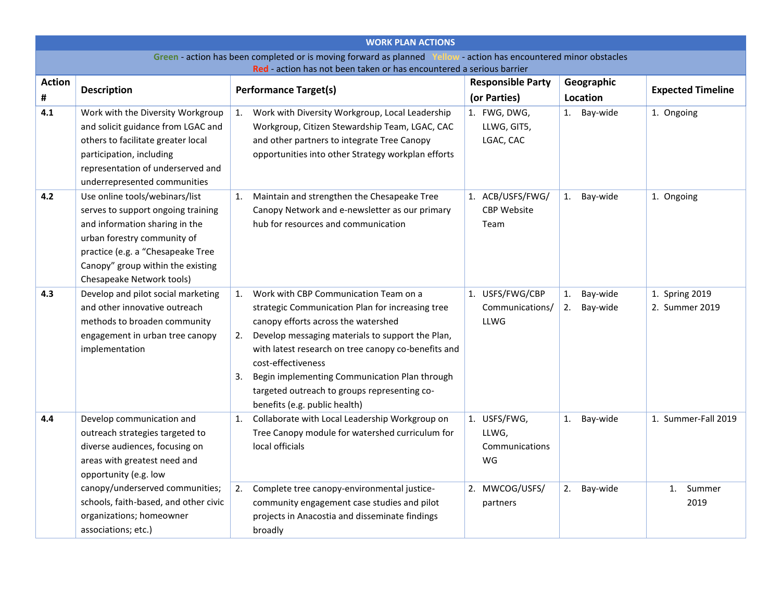<span id="page-5-3"></span><span id="page-5-2"></span><span id="page-5-1"></span><span id="page-5-0"></span>

|                                                                                                                   | <b>WORK PLAN ACTIONS</b>                                                                                                                                                                                                                                        |                |                                                                                                                                                                                                                                                                                                                                                                                                     |  |                                                                             |          |                      |                                             |
|-------------------------------------------------------------------------------------------------------------------|-----------------------------------------------------------------------------------------------------------------------------------------------------------------------------------------------------------------------------------------------------------------|----------------|-----------------------------------------------------------------------------------------------------------------------------------------------------------------------------------------------------------------------------------------------------------------------------------------------------------------------------------------------------------------------------------------------------|--|-----------------------------------------------------------------------------|----------|----------------------|---------------------------------------------|
| Green - action has been completed or is moving forward as planned Yellow - action has encountered minor obstacles |                                                                                                                                                                                                                                                                 |                |                                                                                                                                                                                                                                                                                                                                                                                                     |  |                                                                             |          |                      |                                             |
| <b>Action</b>                                                                                                     | Red - action has not been taken or has encountered a serious barrier<br><b>Responsible Party</b><br>Geographic                                                                                                                                                  |                |                                                                                                                                                                                                                                                                                                                                                                                                     |  |                                                                             |          |                      |                                             |
| #                                                                                                                 | <b>Description</b>                                                                                                                                                                                                                                              |                | <b>Performance Target(s)</b>                                                                                                                                                                                                                                                                                                                                                                        |  | (or Parties)                                                                |          | Location             | <b>Expected Timeline</b>                    |
| 4.1                                                                                                               | Work with the Diversity Workgroup<br>and solicit guidance from LGAC and<br>others to facilitate greater local<br>participation, including<br>representation of underserved and<br>underrepresented communities                                                  | $\mathbf{1}$ . | Work with Diversity Workgroup, Local Leadership<br>Workgroup, Citizen Stewardship Team, LGAC, CAC<br>and other partners to integrate Tree Canopy<br>opportunities into other Strategy workplan efforts                                                                                                                                                                                              |  | 1. FWG, DWG,<br>LLWG, GIT5,<br>LGAC, CAC                                    | 1.       | Bay-wide             | 1. Ongoing                                  |
| 4.2                                                                                                               | Use online tools/webinars/list<br>serves to support ongoing training<br>and information sharing in the<br>urban forestry community of<br>practice (e.g. a "Chesapeake Tree<br>Canopy" group within the existing<br>Chesapeake Network tools)                    | 1.             | Maintain and strengthen the Chesapeake Tree<br>Canopy Network and e-newsletter as our primary<br>hub for resources and communication                                                                                                                                                                                                                                                                |  | 1. ACB/USFS/FWG/<br><b>CBP Website</b><br>Team                              | 1.       | Bay-wide             | 1. Ongoing                                  |
| 4.3                                                                                                               | Develop and pilot social marketing<br>and other innovative outreach<br>methods to broaden community<br>engagement in urban tree canopy<br>implementation                                                                                                        | 1.<br>2.<br>3. | Work with CBP Communication Team on a<br>strategic Communication Plan for increasing tree<br>canopy efforts across the watershed<br>Develop messaging materials to support the Plan,<br>with latest research on tree canopy co-benefits and<br>cost-effectiveness<br>Begin implementing Communication Plan through<br>targeted outreach to groups representing co-<br>benefits (e.g. public health) |  | 1. USFS/FWG/CBP<br>Communications/<br>LLWG                                  | 1.<br>2. | Bay-wide<br>Bay-wide | 1. Spring 2019<br>2. Summer 2019            |
| 4.4                                                                                                               | Develop communication and<br>outreach strategies targeted to<br>diverse audiences, focusing on<br>areas with greatest need and<br>opportunity (e.g. low<br>canopy/underserved communities;<br>schools, faith-based, and other civic<br>organizations; homeowner | 1.<br>2.       | Collaborate with Local Leadership Workgroup on<br>Tree Canopy module for watershed curriculum for<br>local officials<br>Complete tree canopy-environmental justice-<br>community engagement case studies and pilot<br>projects in Anacostia and disseminate findings                                                                                                                                |  | 1. USFS/FWG,<br>LLWG,<br>Communications<br>WG<br>2. MWCOG/USFS/<br>partners | 1.<br>2. | Bay-wide<br>Bay-wide | 1. Summer-Fall 2019<br>Summer<br>1.<br>2019 |
|                                                                                                                   | associations; etc.)                                                                                                                                                                                                                                             |                | broadly                                                                                                                                                                                                                                                                                                                                                                                             |  |                                                                             |          |                      |                                             |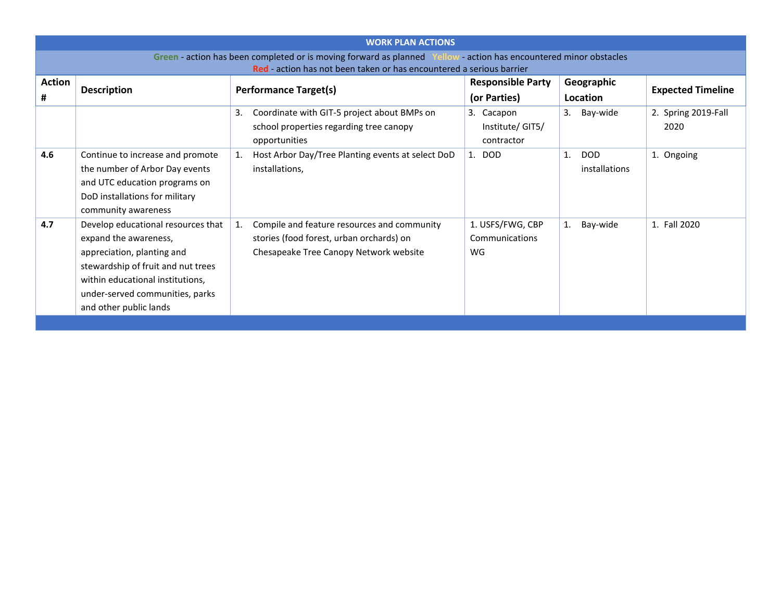<span id="page-6-1"></span><span id="page-6-0"></span>

| <b>WORK PLAN ACTIONS</b> |                                                                                                                                                                                                                                  |                                                                                                                                         |                                             |                                   |                             |  |  |
|--------------------------|----------------------------------------------------------------------------------------------------------------------------------------------------------------------------------------------------------------------------------|-----------------------------------------------------------------------------------------------------------------------------------------|---------------------------------------------|-----------------------------------|-----------------------------|--|--|
|                          | Green - action has been completed or is moving forward as planned Yellow - action has encountered minor obstacles<br>Red - action has not been taken or has encountered a serious barrier                                        |                                                                                                                                         |                                             |                                   |                             |  |  |
| <b>Action</b><br>#       | <b>Description</b>                                                                                                                                                                                                               | <b>Performance Target(s)</b>                                                                                                            | <b>Responsible Party</b><br>(or Parties)    | Geographic<br>Location            | <b>Expected Timeline</b>    |  |  |
|                          |                                                                                                                                                                                                                                  | Coordinate with GIT-5 project about BMPs on<br>3.<br>school properties regarding tree canopy<br>opportunities                           | 3. Cacapon<br>Institute/GIT5/<br>contractor | Bay-wide<br>3.                    | 2. Spring 2019-Fall<br>2020 |  |  |
| 4.6                      | Continue to increase and promote<br>the number of Arbor Day events<br>and UTC education programs on<br>DoD installations for military<br>community awareness                                                                     | Host Arbor Day/Tree Planting events at select DoD<br>installations,                                                                     | 1. DOD                                      | <b>DOD</b><br>1.<br>installations | 1. Ongoing                  |  |  |
| 4.7                      | Develop educational resources that<br>expand the awareness,<br>appreciation, planting and<br>stewardship of fruit and nut trees<br>within educational institutions,<br>under-served communities, parks<br>and other public lands | Compile and feature resources and community<br>1.<br>stories (food forest, urban orchards) on<br>Chesapeake Tree Canopy Network website | 1. USFS/FWG, CBP<br>Communications<br>WG    | Bay-wide<br>1.                    | 1. Fall 2020                |  |  |